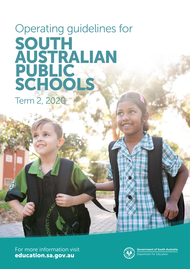# Operating guidelines for SOUTH AUSTRALIAN PUBLIC SCHOOLS Term 2, 2020

For more information visit [education.sa.gov.au](http://education.sa.gov.au)



**Government of South Australia** Department for Education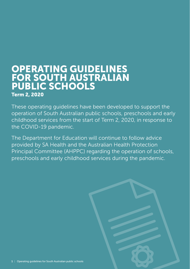# OPERATING GUIDELINES FOR SOUTH AUSTRALIAN PUBLIC SCHOOLS Term 2, 2020

These operating guidelines have been developed to support the operation of South Australian public schools, preschools and early childhood services from the start of Term 2, 2020, in response to the COVID-19 pandemic.

The Department for Education will continue to follow advice provided by SA Health and the Australian Health Protection Principal Committee (AHPPC) regarding the operation of schools, preschools and early childhood services during the pandemic.

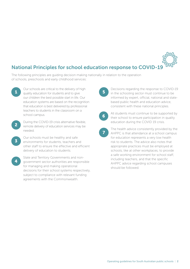# National Principles for school education response to COVID-19

The following principles are guiding decision making nationally in relation to the operation of schools, preschools and early childhood services:

- Our schools are critical to the delivery of high 1 and our series of the state of the definition of the state of the state of the state of the state of  $\overline{5}$ our children the best possible start in life. Our education systems are based on the recognition that education is best delivered by professional teachers to students in the classroom on a school campus.
- During the COVID-19 crisis alternative flexible, remote delivery of education services may be needed. 2
- Our schools must be healthy and safe environments for students, teachers and other staff to ensure the effective and efficient delivery of education to students. 3
- State and Territory Governments and nongovernment sector authorities are responsible for managing and making operational decisions for their school systems respectively, subject to compliance with relevant funding agreements with the Commonwealth. 4

Decisions regarding the response to COVID-19 in the schooling sector must continue to be informed by expert, official, national and statebased public health and education advice, consistent with these national principles.



All students must continue to be supported by their school to ensure participation in quality education during the COVID 19 crisis.

The health advice consistently provided by the AHPPC is that attendance at a school campus for education represents a very low health risk to students. The advice also notes that appropriate practices must be employed at schools, like at other workplaces, to provide a safe working environment for school staff, including teachers, and that the specific AHPPC advice regarding school campuses should be followed. 7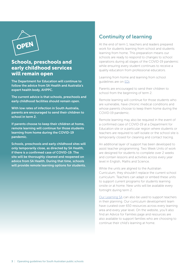

## Schools, preschools and early childhood services will remain open

The Department for Education will continue to follow the advice from SA Health and Australia's expert health body, AHPPC.

The current advice is that schools, preschools and early childhood facilities should remain open.

With low rates of infection in South Australia, parents are encouraged to send their children to school in term 2.

If parents choose to keep their children at home, remote learning will continue for those students learning from home during the COVID-19 pandemic.

Schools, preschools and early childhood sites will only temporarily close, as directed by SA Health, if there is a confirmed case of COVID-19. The site will be thoroughly cleaned and reopened on advice from SA Health. During that time, schools will provide remote learning options for students.

# Continuity of learning

At the end of term 1, teachers and leaders prepared work for students learning from school and students learning from home. This preparation means our schools are ready to respond to changes to school operations during all stages of the COVID-19 pandemic while ensuring every student continues to receive a quality education from professional educators.

Learning from home and learning from school guidelines are on [EDi.](https://edi.sa.edu.au/supporting-children/health-and-wellbeing/covid-19/supporting-children/learning-continuity)

Parents are encouraged to send their children to school from the beginning of term 2.

Remote learning will continue for those students who are vulnerable, have chronic medical conditions and whose parents choose to keep them home during the COVID-19 pandemic.

Remote learning may also be required in the event of a confirmed case of COVID-19 at a Department for Education site or a particular region where students or teachers are required to self-isolate or the school site is temporarily closed for cleaning and contact tracing.

An additional layer of support has been developed to assist teacher programming. Two Week Units of work are designed for students to complete over 2 weeks and contain lessons and activities across every year level in English, Maths and Science.

While the units are aligned to the Australian Curriculum, they shouldn't replace the current school curriculum. Teachers can adapt or embed these units to support current programs for students learning onsite or at home. New units will be available every fortnight during term 2.

[Our Learning SA](https://www.education.sa.gov.au/our-learning-sa) can also be used to support teachers in their planning. Our curriculum development team have curated over 650 resources across every learning area and every year level. On the website, you'll also find an Advice for Families page and resources are also available to support families who are choosing to continue their child's learning at home.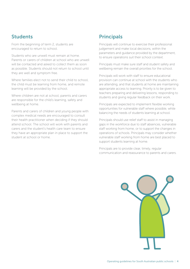# Students

From the beginning of term 2, students are encouraged to return to school.

Students who are unwell must remain at home. Parents or carers of children at school who are unwell will be contacted and asked to collect them as soon as possible. Students should not return to school until they are well and symptom free.

Where families elect not to send their child to school. the child must be learning from home, and remote learning will be provided by the school.

Where children are not at school, parents and carers are responsible for the child's learning, safety and wellbeing at home.

Parents and carers of children and young people with complex medical needs are encouraged to consult their health practitioner when deciding if they should attend school. The school will work with parents and carers and the student's health care team to ensure they have an appropriate plan in place to support the student at school or home.

# **Principals**

Principals will continue to exercise their professional judgement and make local decisions, within the parameters and guidance provided by the department, to ensure operations suit their school context.

Principals must make sure staff and student safety and wellbeing remain the overall priorities for the school.

Principals will work with staff to ensure educational provision can continue at school with the students who are attending, and that students at home are maintaining appropriate access to learning. Priority is to be given to teachers preparing and delivering lessons, responding to students and giving regular feedback on their work.

Principals are expected to implement flexible working opportunities for vulnerable staff where possible, while balancing the needs of students learning at school.

Principals should use relief staff to assist in managing gaps in the workforce due to staff absences, vulnerable staff working from home, or to support the changes in operations of schools. Principals may consider whether vulnerable staff working from home are best placed to support students learning at home.

Principals are to provide clear, timely, regular communication and reassurance to parents and carers.

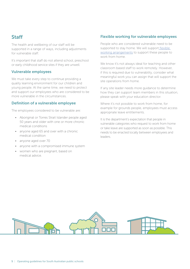# Staff

The health and wellbeing of our staff will be supported in a range of ways, including adjustments for vulnerable staff.

It's important that staff do not attend school, preschool or early childhood service sites if they are unwell.

### Vulnerable employees

We must take every step to continue providing a quality learning environment for our children and young people. At the same time, we need to protect and support our employees who are considered to be more vulnerable in the circumstances.

### Definition of a vulnerable employee

The employees considered to be vulnerable are:

- Aboriginal or Torres Strait Islander people aged 50 years and older with one or more chronic medical conditions
- anyone aged 65 and over with a chronic medical condition
- anyone aged over 70
- anyone with a compromised immune system
- women who are pregnant, based on medical advice.

## Flexible working for vulnerable employees

People who are considered vulnerable need to be supported to stay home. We will support [flexible](https://edi.sa.edu.au/supporting-children/health-and-wellbeing/covid-19/supporting-employees/flexible-working)  [working arrangements](https://edi.sa.edu.au/supporting-children/health-and-wellbeing/covid-19/supporting-employees/flexible-working) to support these people to work from home.

We know it's not always ideal for teaching and other classroom based staff to work remotely. However, if this is required due to vulnerability, consider what meaningful work you can assign that will support the site operations from home.

If any site leader needs more guidance to determine how they can support team members in this situation, please speak with your education director.

Where it's not possible to work from home, for example for grounds people, employees must access appropriate leave entitlements.

It is the department's expectation that people in vulnerable categories who request to work from home or take leave are supported as soon as possible. This needs to be enacted locally between employees and leaders.

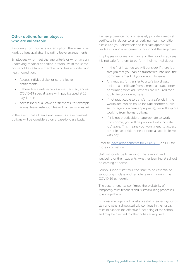## Other options for employees who are vulnerable

If working from home is not an option, there are other work options available, including leave arrangements.

Employees who meet the age criteria or who have an underlying medical condition or who live in the same household as a family member who has an underlying health condition:

- Access individual sick or carer's leave entitlements.
- If these leave entitlements are exhausted, access COVID-19 special leave with pay (capped at 15 days), then
- access individual leave entitlements (for example annual leave, retention leave, long service leave).

In the event that all leave entitlements are exhausted, options will be considered on a case-by-case basis.

If an employee cannot immediately provide a medical certificate in relation to an underlying health condition, please use your discretion and facilitate appropriate flexible working arrangements to support the employee.

Employees who are pregnant and their doctor advises it is not safe for them to perform their normal duties:

- In the first instance we will consider if there is a safe job that you can be transferred into until the commencement of your maternity leave.
- Any request for transfer to a safe job should include a certificate from a medical practitioner confirming what adjustments are required for a job to be considered safe.
- If not practicable to transfer to a safe job in the workplace (which could include another public sector agency where appropriate), we will explore working from home options.
- If it is not practicable or appropriate to work from home, you will be provided with 'no safe job' leave. This means you won't need to access other leave entitlements or normal special leave with pay.

Refer to [leave arrangements for COVID-19](https://edi.sa.edu.au/supporting-children/health-and-wellbeing/covid-19/supporting-employees/covid-19-leave#pregnant) on EDi for more information.

Staff will continue to monitor the learning and wellbeing of their students, whether learning at school or learning at home.

School support staff will continue to be essential to supporting in class and remote learning during the COVID-19 pandemic.

The department has confirmed the availability of temporary relief teachers and is streamlining processes to engage them.

Business managers, administrative staff, cleaners, grounds staff and other school staff will continue in their usual roles to support the effective functioning of the school and may be directed to other duties as required.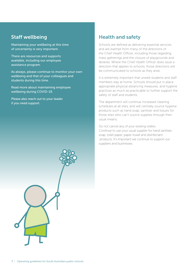## Staff wellbeing

Maintaining your wellbeing at this time of uncertainty is very important.

There are resources and supports available, including our [employee](https://edi.sa.edu.au/hr/for-individuals/work-conditions/mywellbeing/employee-assistance-program-eap)  [assistance program](https://edi.sa.edu.au/hr/for-individuals/work-conditions/mywellbeing/employee-assistance-program-eap).

As always, please continue to monitor your own wellbeing and that of your colleagues and students during this time.

[Read more about maintaining employee](https://edi.sa.edu.au/supporting-children/health-and-wellbeing/covid-19/supporting-employees/employee-wellbeing)  [wellbeing during COVID-19](https://edi.sa.edu.au/supporting-children/health-and-wellbeing/covid-19/supporting-employees/employee-wellbeing).

Please also reach out to your leader if you need support.

# Health and safety

Schools are defined as delivering essential services and are exempt from many of the directions of the Chief Health Officer, including those regarding mass gatherings and the closure of playgrounds and libraries. Where the Chief Health Officer does issue a direction that applies to schools, those directions will be communicated to schools as they arise.

It is extremely important that unwell students and staff members stay at home. Schools should put in place appropriate physical distancing measures, and hygiene practices as much as practicable to further support the safety of staff and students.

The department will continue increased cleaning schedules at all sites, and will centrally source hygiene products such as hand soap, sanitiser and tissues for those sites who can't source supplies through their usual means.

Do not cancel any of your existing orders. Continue to use your usual supplier for hand sanitiser, soap, toilet paper, paper towel and disinfectant products. It's important we continue to support our suppliers and businesses.

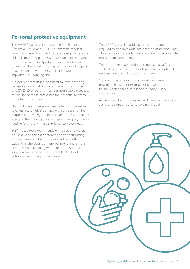# Personal protective equipment

The AHPPC has advised that additional Personal Protective Equipment (PPE), for example medical face masks, is not required to provide regular care for children or young people who are well, unless such precautions are usually adopted in the routine care of an individual child or young person. Good hygiene practices and environmental cleaning are more important for reducing risk.

It is not recommended non-medical face coverings be used as a mitigation strategy against transmission of COVID-19 or other similar communicable diseases, as the use of these masks has the potential to create more harm than good.

Standard precautions are advised when it is necessary to come into physical contact with someone for the purpose of providing routine care and/or assistance (for example, the use of gloves for nappy changing, toileting, feeding for those with a disability or complex needs).

Staff must always wash hands with soap and water, or use a hand sanitiser before and after performing routine care and other close interactions with students in the classroom environment, and ensure environmental cleaning where relevant. Schools should make hand sanitiser available at school entrances and in every classroom.

The AHPPC has also advised that schools are not required to conduct wide-scale temperature checking of students as there is limited evidence to demonstrate the value of such checks.

Thermometers may continue to be used as a first aid tool for schools, preschools and early childhood services when a child presents as unwell.

Standard precautions should be adopted when providing first aid, for example gloves and an apron to use when dealing with blood or body fluids/ substances.

Always wash hands with soap and water or use a hand sanitiser before and after providing first aid.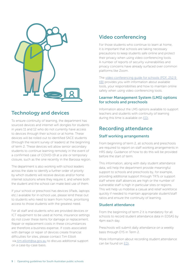

# Technology and devices

To ensure continuity of learning, the department has sourced devices and internet wifi dongles for students in years 11 and 12 who do not currently have access to devices through their school or at home. These devices will be rolled out to identified SACE students (through the recent survey of leaders) at the beginning of term 2. These devices will allow senior secondary students to continue learning remotely in the event of a confirmed case of COVID-19 at a site or temporary closure, such as the one recently in the Barossa region.

The department is also working with school leaders across the state to identify a further order of priority by which students will receive devices and/or home internet solutions where they require it, and where both the student and the school can make best use of them.

If your school or preschool has devices (iPads, laptops etc.) available for in-school use, please lend these out to students who need to learn from home, prioritising access to those students with the greatest need.

For all staff and students who are provided devices or ICT equipment to be used at home, insurance settings do not cover these items for damage or replacement. Repair or replacement costs in these circumstances are therefore a business expense. If costs associated with damage or repair of devices create financial difficulties for sites, please contact Tim Elliott via [tim.elliott@sa.gov.au](mailto:tim.elliott%40sa.gov.au?subject=) to discuss additional support on a case-by-case basis.

# Video conferencing

For those students who continue to learn at home, it is important that schools are taking necessary precautions to keep students safe online and protect their privacy when using video conferencing tools. A number of reports of security vulnerabilities and privacy concerns have already surfaced over common platforms like Zoom.

The [video conferencing guide for schools \(PDF, 252.9](https://edi.sa.edu.au/library/document-library/learning-improvement/covid19/COVID19-Video-conferencing-guide-for-schools.pdf)  [KB\)](https://edi.sa.edu.au/library/document-library/learning-improvement/covid19/COVID19-Video-conferencing-guide-for-schools.pdf) provides you with information about available tools, your responsibilities and how to maintain online safety when using video conferencing tools.

## Learner Management System (LMS) options for schools and preschools

Information about the LMS options available to support teachers and students with continuity of learning during this time is available on [EDi](https://edi.sa.edu.au/supporting-children/health-and-wellbeing/covid-19/supporting-children/support-for-term-2).

# Recording attendance

## Staff working arrangements

From beginning of term 2, all schools and preschools are required to report on staff working arrangements in HRS daily. Guidance of how to do this will be provided before the start of term.

This information, along with daily student attendance data, will help the department provide meaningful support to schools and preschools by, for example, providing additional support through TRTs or support staff where staff absences are high or the number of vulnerable staff is high in particular sites or regions. This will help us mobilise a casual and relief workforce quickly if needed to maintain appropriate student/staff ratios and ensure the continuity of learning.

## Student attendance

From the beginning of term 2 it is mandatory for all schools to record student attendance data in EDSAS by 4pm each day.

Preschools will submit daily attendance on a weekly basis through EYS in Term 2.

More information about recording student attendance can be found on [EDi.](https://edi.sa.edu.au/operations-and-management/reporting-data-and-records/data-and-surveys/data-collection/edsas-student-data)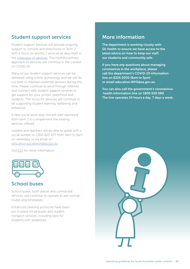# Student support services

Student Support Services will provide ongoing support to schools and preschools in Term 2 with a focus on priority 1 services as described in the [catalogue of services.](https://edi.sa.edu.au/library/document-library/miscellaneous/child-and-student-support/support-services/student-support-services-catalogue.pdf) The multidisciplinary approach to services will continue in the context of COVID-19.

Many of our student support services can be delivered using online technology and we will do our best to maintain essential services during this time. Please continue to send through referrals and connect with student support services to get support for your school, preschool and students. The focus for services will continue to be supporting student learning, wellbeing and behaviour.

A new social work duty line will start operating from term 2 to complement the existing services offered.

Leaders and teachers will be able to speak with a social worker on 1300 620 673 from 9am to 5pm on weekdays or via email on [education.socialwork@sa.gov.au](mailto:education.socialwork%40sa.gov.au?subject=)

Visit [EDi](https://edi.sa.edu.au/supporting-children/health-and-wellbeing/covid-19/supporting-children/student-support-services-social-work-duty-line-and-covid-19-services) for more information



# School buses

School buses, both yellow and contracted services, will continue to operate as per normal routes and timetables.

Enhanced cleaning protocols have been put in place for all buses and student transport services, including taxis for students with disabilities.

## More information

The department is working closely with SA Health to ensure we have access to the latest advice on how to keep our staff, our students and community safe.

If you have any questions about managing coronavirus in the workplace, please call the department's COVID-19 information line on 8226 2000 (8am to 5pm) or email [education.WHS@sa.gov.au](mailto:education.WHS%40sa.gov.au?subject=)

You can also call the government's coronavirus health information line on 1800 020 080. The line operates 24 hours a day, 7 days a week.